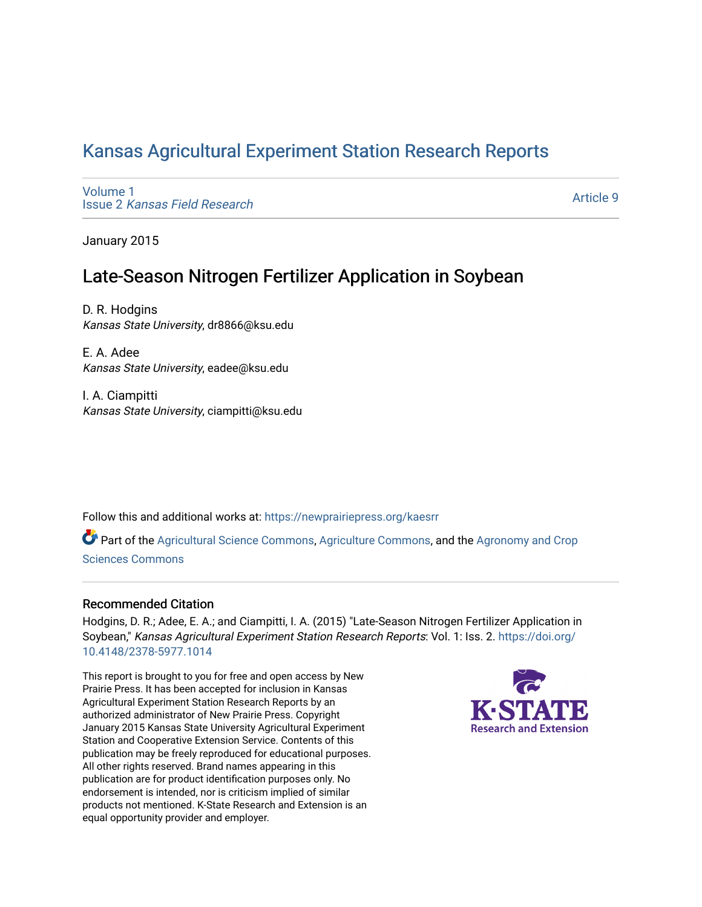## [Kansas Agricultural Experiment Station Research Reports](https://newprairiepress.org/kaesrr)

[Volume 1](https://newprairiepress.org/kaesrr/vol1) Issue 2 [Kansas Field Research](https://newprairiepress.org/kaesrr/vol1/iss2) 

[Article 9](https://newprairiepress.org/kaesrr/vol1/iss2/9) 

January 2015

# Late-Season Nitrogen Fertilizer Application in Soybean

D. R. Hodgins Kansas State University, dr8866@ksu.edu

E. A. Adee Kansas State University, eadee@ksu.edu

I. A. Ciampitti Kansas State University, ciampitti@ksu.edu

Follow this and additional works at: [https://newprairiepress.org/kaesrr](https://newprairiepress.org/kaesrr?utm_source=newprairiepress.org%2Fkaesrr%2Fvol1%2Fiss2%2F9&utm_medium=PDF&utm_campaign=PDFCoverPages) 

Part of the [Agricultural Science Commons](http://network.bepress.com/hgg/discipline/1063?utm_source=newprairiepress.org%2Fkaesrr%2Fvol1%2Fiss2%2F9&utm_medium=PDF&utm_campaign=PDFCoverPages), [Agriculture Commons,](http://network.bepress.com/hgg/discipline/1076?utm_source=newprairiepress.org%2Fkaesrr%2Fvol1%2Fiss2%2F9&utm_medium=PDF&utm_campaign=PDFCoverPages) and the [Agronomy and Crop](http://network.bepress.com/hgg/discipline/103?utm_source=newprairiepress.org%2Fkaesrr%2Fvol1%2Fiss2%2F9&utm_medium=PDF&utm_campaign=PDFCoverPages) [Sciences Commons](http://network.bepress.com/hgg/discipline/103?utm_source=newprairiepress.org%2Fkaesrr%2Fvol1%2Fiss2%2F9&utm_medium=PDF&utm_campaign=PDFCoverPages) 

#### Recommended Citation

Hodgins, D. R.; Adee, E. A.; and Ciampitti, I. A. (2015) "Late-Season Nitrogen Fertilizer Application in Soybean," Kansas Agricultural Experiment Station Research Reports: Vol. 1: Iss. 2. [https://doi.org/](https://doi.org/10.4148/2378-5977.1014) [10.4148/2378-5977.1014](https://doi.org/10.4148/2378-5977.1014)

This report is brought to you for free and open access by New Prairie Press. It has been accepted for inclusion in Kansas Agricultural Experiment Station Research Reports by an authorized administrator of New Prairie Press. Copyright January 2015 Kansas State University Agricultural Experiment Station and Cooperative Extension Service. Contents of this publication may be freely reproduced for educational purposes. All other rights reserved. Brand names appearing in this publication are for product identification purposes only. No endorsement is intended, nor is criticism implied of similar products not mentioned. K-State Research and Extension is an equal opportunity provider and employer.

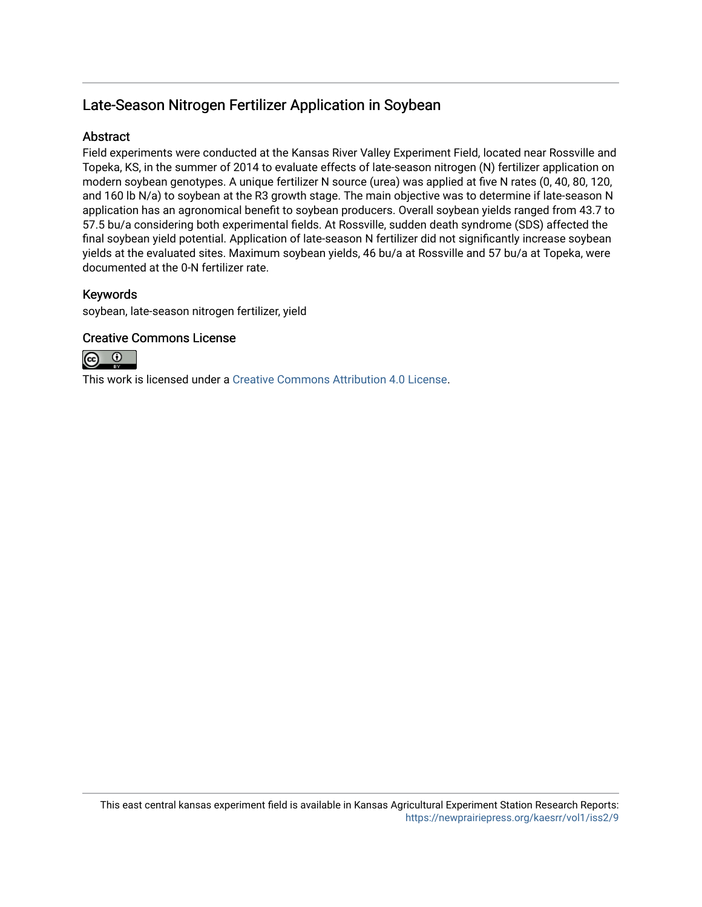## Late-Season Nitrogen Fertilizer Application in Soybean

### **Abstract**

Field experiments were conducted at the Kansas River Valley Experiment Field, located near Rossville and Topeka, KS, in the summer of 2014 to evaluate effects of late-season nitrogen (N) fertilizer application on modern soybean genotypes. A unique fertilizer N source (urea) was applied at five N rates (0, 40, 80, 120, and 160 lb N/a) to soybean at the R3 growth stage. The main objective was to determine if late-season N application has an agronomical benefit to soybean producers. Overall soybean yields ranged from 43.7 to 57.5 bu/a considering both experimental fields. At Rossville, sudden death syndrome (SDS) affected the final soybean yield potential. Application of late-season N fertilizer did not significantly increase soybean yields at the evaluated sites. Maximum soybean yields, 46 bu/a at Rossville and 57 bu/a at Topeka, were documented at the 0-N fertilizer rate.

### Keywords

soybean, late-season nitrogen fertilizer, yield

#### Creative Commons License



This work is licensed under a [Creative Commons Attribution 4.0 License](https://creativecommons.org/licenses/by/4.0/).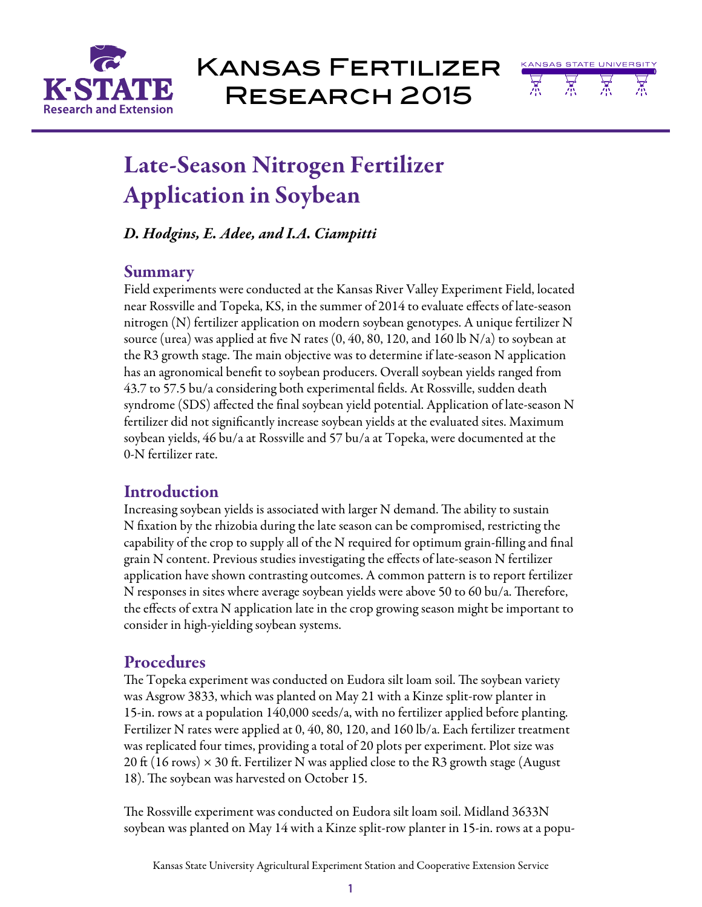

Kansas Fertilizer Research 2015



# Late-Season Nitrogen Fertilizer Application in Soybean

## *D. Hodgins, E. Adee, and I.A. Ciampitti*

## Summary

Field experiments were conducted at the Kansas River Valley Experiment Field, located near Rossville and Topeka, KS, in the summer of 2014 to evaluate effects of late-season nitrogen (N) fertilizer application on modern soybean genotypes. A unique fertilizer N source (urea) was applied at five N rates (0, 40, 80, 120, and 160 lb N/a) to soybean at the R3 growth stage. The main objective was to determine if late-season N application has an agronomical benefit to soybean producers. Overall soybean yields ranged from 43.7 to 57.5 bu/a considering both experimental fields. At Rossville, sudden death syndrome (SDS) affected the final soybean yield potential. Application of late-season N fertilizer did not significantly increase soybean yields at the evaluated sites. Maximum soybean yields, 46 bu/a at Rossville and 57 bu/a at Topeka, were documented at the 0-N fertilizer rate.

## **Introduction**

Increasing soybean yields is associated with larger N demand. The ability to sustain N fixation by the rhizobia during the late season can be compromised, restricting the capability of the crop to supply all of the N required for optimum grain-filling and final grain N content. Previous studies investigating the effects of late-season N fertilizer application have shown contrasting outcomes. A common pattern is to report fertilizer N responses in sites where average soybean yields were above 50 to 60 bu/a. Therefore, the effects of extra N application late in the crop growing season might be important to consider in high-yielding soybean systems.

## **Procedures**

The Topeka experiment was conducted on Eudora silt loam soil. The soybean variety was Asgrow 3833, which was planted on May 21 with a Kinze split-row planter in 15-in. rows at a population 140,000 seeds/a, with no fertilizer applied before planting. Fertilizer N rates were applied at 0, 40, 80, 120, and 160 lb/a. Each fertilizer treatment was replicated four times, providing a total of 20 plots per experiment. Plot size was 20 ft (16 rows)  $\times$  30 ft. Fertilizer N was applied close to the R3 growth stage (August 18). The soybean was harvested on October 15.

The Rossville experiment was conducted on Eudora silt loam soil. Midland 3633N soybean was planted on May 14 with a Kinze split-row planter in 15-in. rows at a popu-